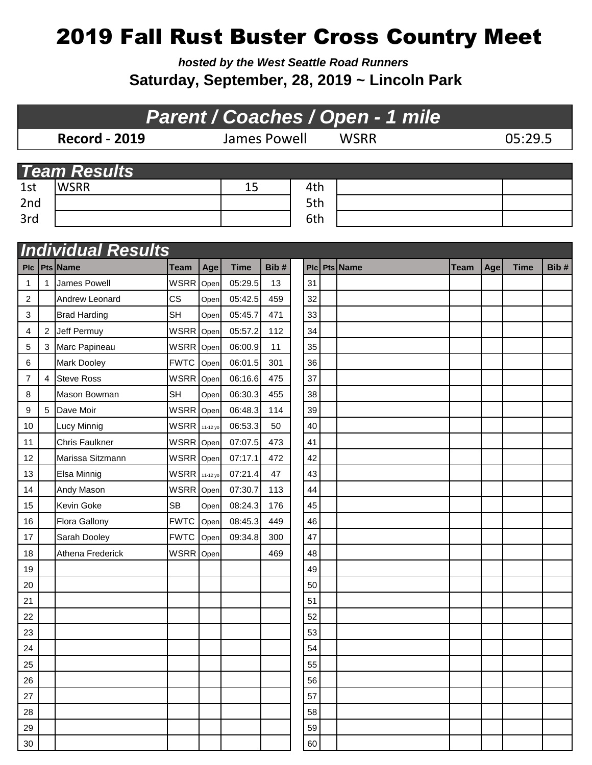## 2019 Fall Rust Buster Cross Country Meet

*hosted by the West Seattle Road Runners* **Saturday, September, 28, 2019 ~ Lincoln Park**

## **Record - 2019** James Powell WSRR 05:29.5 1st WSRR 15 4th 2nd 2nd 5th 3rd 6th *Parent / Coaches / Open - 1 mile Team Results*<br>1st **WSRR** *Individual Results*

|                  |                | <u>IIIUIVIUUAI KESUILS</u><br>Plc   Pts   Name |                      |          |             | Bib# |           | Pts Name |      |     |             |      |
|------------------|----------------|------------------------------------------------|----------------------|----------|-------------|------|-----------|----------|------|-----|-------------|------|
|                  |                | James Powell                                   | Team<br><b>WSRR</b>  | Age      | <b>Time</b> | 13   | PIc<br>31 |          | Team | Age | <b>Time</b> | Bib# |
| 1                | $\mathbf{1}$   |                                                |                      | Open     | 05:29.5     |      |           |          |      |     |             |      |
| $\boldsymbol{2}$ |                | Andrew Leonard                                 | CS                   | Open     | 05:42.5     | 459  | 32        |          |      |     |             |      |
| 3                |                | <b>Brad Harding</b>                            | <b>SH</b>            | Open     | 05:45.7     | 471  | 33        |          |      |     |             |      |
| 4                |                | 2 Jeff Permuy                                  | WSRR Open            |          | 05:57.2     | 112  | 34        |          |      |     |             |      |
| 5                |                | 3 Marc Papineau                                | <b>WSRR</b> Open     |          | 06:00.9     | 11   | 35        |          |      |     |             |      |
| 6                |                | Mark Dooley                                    | <b>FWTC</b>          | Open     | 06:01.5     | 301  | 36        |          |      |     |             |      |
| $\overline{7}$   | $\overline{4}$ | <b>Steve Ross</b>                              | <b>WSRR</b>          | Open     | 06:16.6     | 475  | 37        |          |      |     |             |      |
| 8                |                | Mason Bowman                                   | <b>SH</b>            | Open     | 06:30.3     | 455  | 38        |          |      |     |             |      |
| 9                |                | 5 Dave Moir                                    | WSRR Open            |          | 06:48.3     | 114  | 39        |          |      |     |             |      |
| 10               |                | <b>Lucy Minnig</b>                             | <b>WSRR</b>          | 11-12 yo | 06:53.3     | 50   | 40        |          |      |     |             |      |
| 11               |                | <b>Chris Faulkner</b>                          | WSRR Open            |          | 07:07.5     | 473  | 41        |          |      |     |             |      |
| 12               |                | Marissa Sitzmann                               | WSRR Open            |          | 07:17.1     | 472  | 42        |          |      |     |             |      |
| 13               |                | Elsa Minnig                                    | <b>WSRR</b> 11-12 yo |          | 07:21.4     | 47   | 43        |          |      |     |             |      |
| 14               |                | Andy Mason                                     | <b>WSRR</b>          | Open     | 07:30.7     | 113  | 44        |          |      |     |             |      |
| 15               |                | Kevin Goke                                     | <b>SB</b>            | Open     | 08:24.3     | 176  | 45        |          |      |     |             |      |
| 16               |                | <b>Flora Gallony</b>                           | <b>FWTC</b>          | Open     | 08:45.3     | 449  | 46        |          |      |     |             |      |
| 17               |                | Sarah Dooley                                   | <b>FWTC</b>          | Open     | 09:34.8     | 300  | 47        |          |      |     |             |      |
| 18               |                | Athena Frederick                               | WSRR Open            |          |             | 469  | 48        |          |      |     |             |      |
| 19               |                |                                                |                      |          |             |      | 49        |          |      |     |             |      |
| 20               |                |                                                |                      |          |             |      | 50        |          |      |     |             |      |
| 21               |                |                                                |                      |          |             |      | 51        |          |      |     |             |      |
| 22               |                |                                                |                      |          |             |      | 52        |          |      |     |             |      |
| 23               |                |                                                |                      |          |             |      | 53        |          |      |     |             |      |
| 24               |                |                                                |                      |          |             |      | 54        |          |      |     |             |      |
| 25               |                |                                                |                      |          |             |      | 55        |          |      |     |             |      |
| 26               |                |                                                |                      |          |             |      | 56        |          |      |     |             |      |
| 27               |                |                                                |                      |          |             |      | 57        |          |      |     |             |      |
| 28               |                |                                                |                      |          |             |      | 58        |          |      |     |             |      |
| 29               |                |                                                |                      |          |             |      | 59        |          |      |     |             |      |
| 30               |                |                                                |                      |          |             |      | 60        |          |      |     |             |      |
|                  |                |                                                |                      |          |             |      |           |          |      |     |             |      |